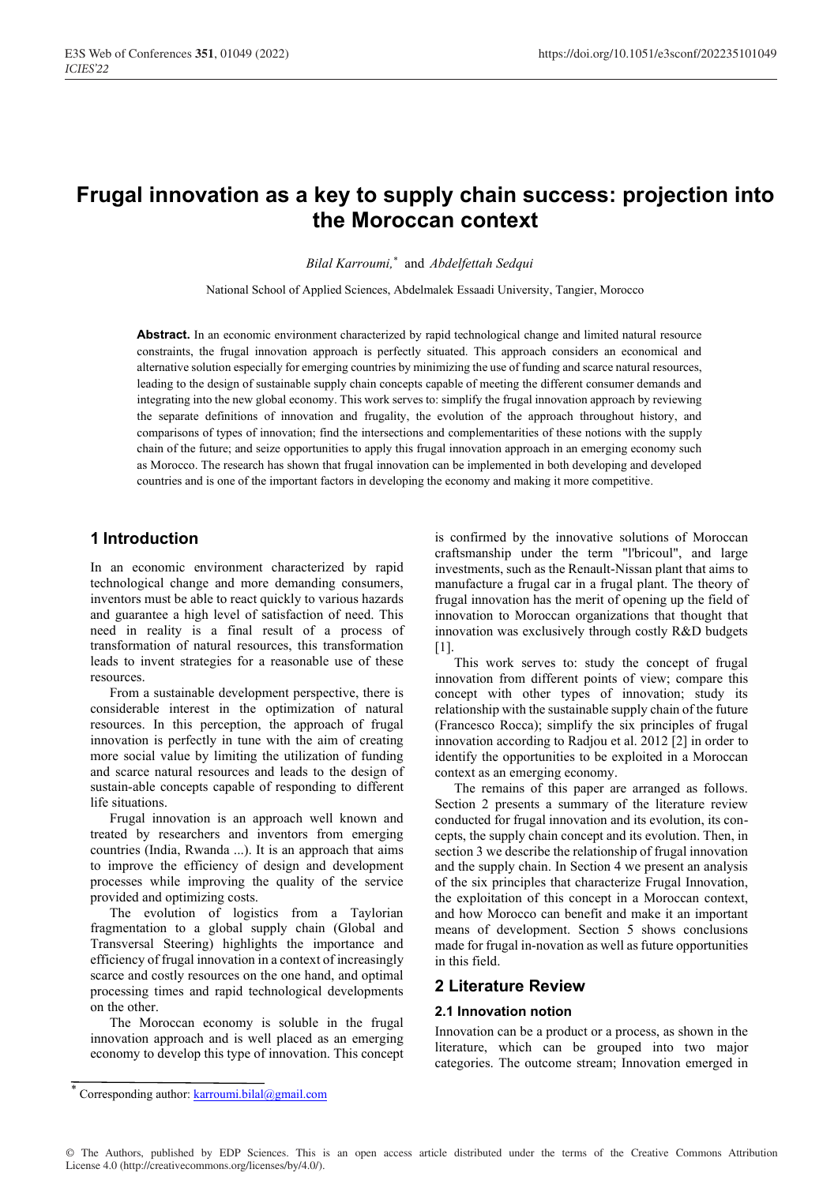# **Frugal innovation as a key to supply chain success: projection into the Moroccan context**

*Bilal Karroumi,* \* and *Abdelfettah Sedqui*

National School of Applied Sciences, Abdelmalek Essaadi University, Tangier, Morocco

**Abstract.** In an economic environment characterized by rapid technological change and limited natural resource constraints, the frugal innovation approach is perfectly situated. This approach considers an economical and alternative solution especially for emerging countries by minimizing the use of funding and scarce natural resources, leading to the design of sustainable supply chain concepts capable of meeting the different consumer demands and integrating into the new global economy. This work serves to: simplify the frugal innovation approach by reviewing the separate definitions of innovation and frugality, the evolution of the approach throughout history, and comparisons of types of innovation; find the intersections and complementarities of these notions with the supply chain of the future; and seize opportunities to apply this frugal innovation approach in an emerging economy such as Morocco. The research has shown that frugal innovation can be implemented in both developing and developed countries and is one of the important factors in developing the economy and making it more competitive.

## **1 Introduction**

In an economic environment characterized by rapid technological change and more demanding consumers, inventors must be able to react quickly to various hazards and guarantee a high level of satisfaction of need. This need in reality is a final result of a process of transformation of natural resources, this transformation leads to invent strategies for a reasonable use of these resources.

From a sustainable development perspective, there is considerable interest in the optimization of natural resources. In this perception, the approach of frugal innovation is perfectly in tune with the aim of creating more social value by limiting the utilization of funding and scarce natural resources and leads to the design of sustain-able concepts capable of responding to different life situations.

Frugal innovation is an approach well known and treated by researchers and inventors from emerging countries (India, Rwanda ...). It is an approach that aims to improve the efficiency of design and development processes while improving the quality of the service provided and optimizing costs.

The evolution of logistics from a Taylorian fragmentation to a global supply chain (Global and Transversal Steering) highlights the importance and efficiency of frugal innovation in a context of increasingly scarce and costly resources on the one hand, and optimal processing times and rapid technological developments on the other.

The Moroccan economy is soluble in the frugal innovation approach and is well placed as an emerging economy to develop this type of innovation. This concept is confirmed by the innovative solutions of Moroccan craftsmanship under the term "l'bricoul", and large investments, such as the Renault-Nissan plant that aims to manufacture a frugal car in a frugal plant. The theory of frugal innovation has the merit of opening up the field of innovation to Moroccan organizations that thought that innovation was exclusively through costly R&D budgets [1].

This work serves to: study the concept of frugal innovation from different points of view; compare this concept with other types of innovation; study its relationship with the sustainable supply chain of the future (Francesco Rocca); simplify the six principles of frugal innovation according to Radjou et al. 2012 [2] in order to identify the opportunities to be exploited in a Moroccan context as an emerging economy.

The remains of this paper are arranged as follows. Section 2 presents a summary of the literature review conducted for frugal innovation and its evolution, its concepts, the supply chain concept and its evolution. Then, in section 3 we describe the relationship of frugal innovation and the supply chain. In Section 4 we present an analysis of the six principles that characterize Frugal Innovation, the exploitation of this concept in a Moroccan context, and how Morocco can benefit and make it an important means of development. Section 5 shows conclusions made for frugal in-novation as well as future opportunities in this field.

## **2 Literature Review**

#### **2.1 Innovation notion**

Innovation can be a product or a process, as shown in the literature, which can be grouped into two major categories. The outcome stream; Innovation emerged in

Corresponding author: karroumi.bilal@gmail.com

<sup>©</sup> The Authors, published by EDP Sciences. This is an open access article distributed under the terms of the Creative Commons Attribution License 4.0 (http://creativecommons.org/licenses/by/4.0/).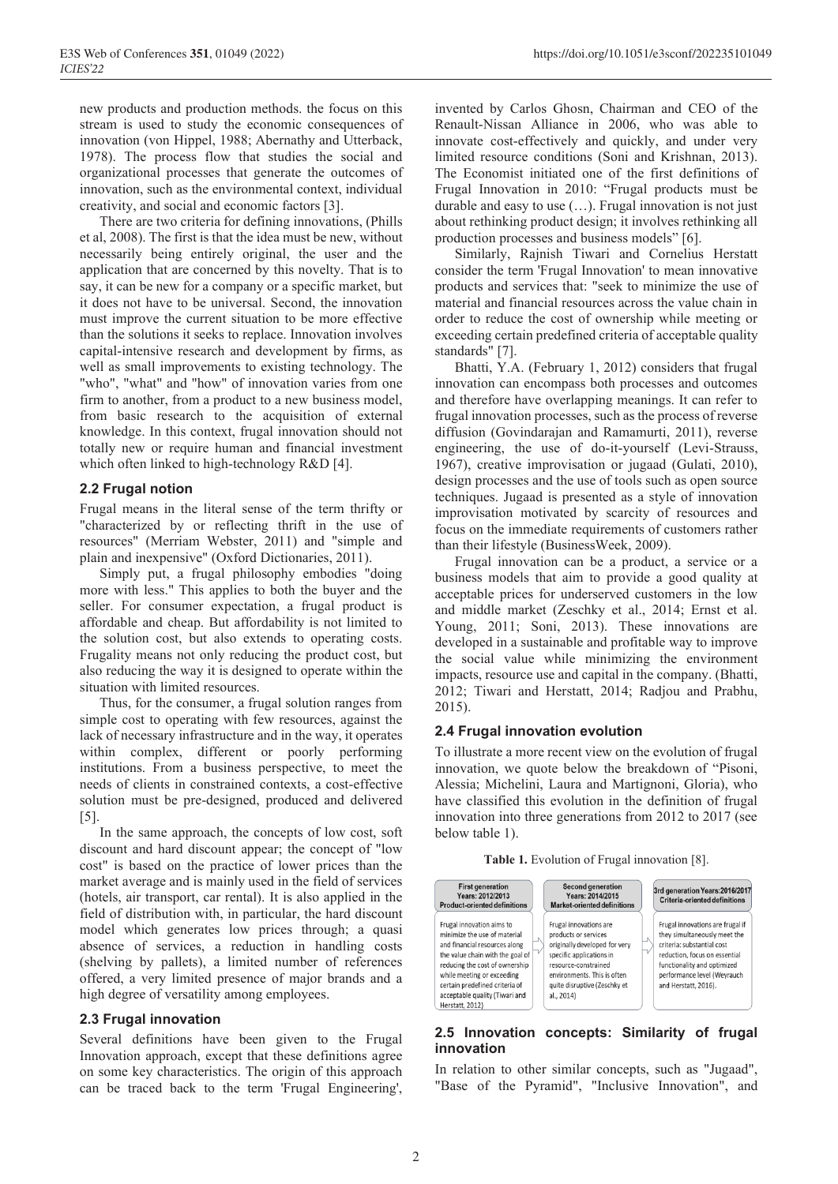new products and production methods. the focus on this stream is used to study the economic consequences of innovation (von Hippel, 1988; Abernathy and Utterback, 1978). The process flow that studies the social and organizational processes that generate the outcomes of innovation, such as the environmental context, individual creativity, and social and economic factors [3].

There are two criteria for defining innovations, (Phills et al, 2008). The first is that the idea must be new, without necessarily being entirely original, the user and the application that are concerned by this novelty. That is to say, it can be new for a company or a specific market, but it does not have to be universal. Second, the innovation must improve the current situation to be more effective than the solutions it seeks to replace. Innovation involves capital-intensive research and development by firms, as well as small improvements to existing technology. The "who", "what" and "how" of innovation varies from one firm to another, from a product to a new business model, from basic research to the acquisition of external knowledge. In this context, frugal innovation should not totally new or require human and financial investment which often linked to high-technology R&D [4].

#### **2.2 Frugal notion**

Frugal means in the literal sense of the term thrifty or "characterized by or reflecting thrift in the use of resources" (Merriam Webster, 2011) and "simple and plain and inexpensive" (Oxford Dictionaries, 2011).

Simply put, a frugal philosophy embodies "doing more with less." This applies to both the buyer and the seller. For consumer expectation, a frugal product is affordable and cheap. But affordability is not limited to the solution cost, but also extends to operating costs. Frugality means not only reducing the product cost, but also reducing the way it is designed to operate within the situation with limited resources.

Thus, for the consumer, a frugal solution ranges from simple cost to operating with few resources, against the lack of necessary infrastructure and in the way, it operates within complex, different or poorly performing institutions. From a business perspective, to meet the needs of clients in constrained contexts, a cost-effective solution must be pre-designed, produced and delivered [5].

In the same approach, the concepts of low cost, soft discount and hard discount appear; the concept of "low cost" is based on the practice of lower prices than the market average and is mainly used in the field of services (hotels, air transport, car rental). It is also applied in the field of distribution with, in particular, the hard discount model which generates low prices through; a quasi absence of services, a reduction in handling costs (shelving by pallets), a limited number of references offered, a very limited presence of major brands and a high degree of versatility among employees.

#### **2.3 Frugal innovation**

Several definitions have been given to the Frugal Innovation approach, except that these definitions agree on some key characteristics. The origin of this approach can be traced back to the term 'Frugal Engineering',

invented by Carlos Ghosn, Chairman and CEO of the Renault-Nissan Alliance in 2006, who was able to innovate cost-effectively and quickly, and under very limited resource conditions (Soni and Krishnan, 2013). The Economist initiated one of the first definitions of Frugal Innovation in 2010: "Frugal products must be durable and easy to use (…). Frugal innovation is not just about rethinking product design; it involves rethinking all production processes and business models" [6].

Similarly, Rajnish Tiwari and Cornelius Herstatt consider the term 'Frugal Innovation' to mean innovative products and services that: "seek to minimize the use of material and financial resources across the value chain in order to reduce the cost of ownership while meeting or exceeding certain predefined criteria of acceptable quality standards" [7].

Bhatti, Y.A. (February 1, 2012) considers that frugal innovation can encompass both processes and outcomes and therefore have overlapping meanings. It can refer to frugal innovation processes, such as the process of reverse diffusion (Govindarajan and Ramamurti, 2011), reverse engineering, the use of do-it-yourself (Levi-Strauss, 1967), creative improvisation or jugaad (Gulati, 2010), design processes and the use of tools such as open source techniques. Jugaad is presented as a style of innovation improvisation motivated by scarcity of resources and focus on the immediate requirements of customers rather than their lifestyle (BusinessWeek, 2009).

Frugal innovation can be a product, a service or a business models that aim to provide a good quality at acceptable prices for underserved customers in the low and middle market (Zeschky et al., 2014; Ernst et al. Young, 2011; Soni, 2013). These innovations are developed in a sustainable and profitable way to improve the social value while minimizing the environment impacts, resource use and capital in the company. (Bhatti, 2012; Tiwari and Herstatt, 2014; Radjou and Prabhu, 2015).

#### **2.4 Frugal innovation evolution**

To illustrate a more recent view on the evolution of frugal innovation, we quote below the breakdown of "Pisoni, Alessia; Michelini, Laura and Martignoni, Gloria), who have classified this evolution in the definition of frugal innovation into three generations from 2012 to 2017 (see below table 1).





## **2.5 Innovation concepts: Similarity of frugal innovation**

In relation to other similar concepts, such as "Jugaad", "Base of the Pyramid", "Inclusive Innovation", and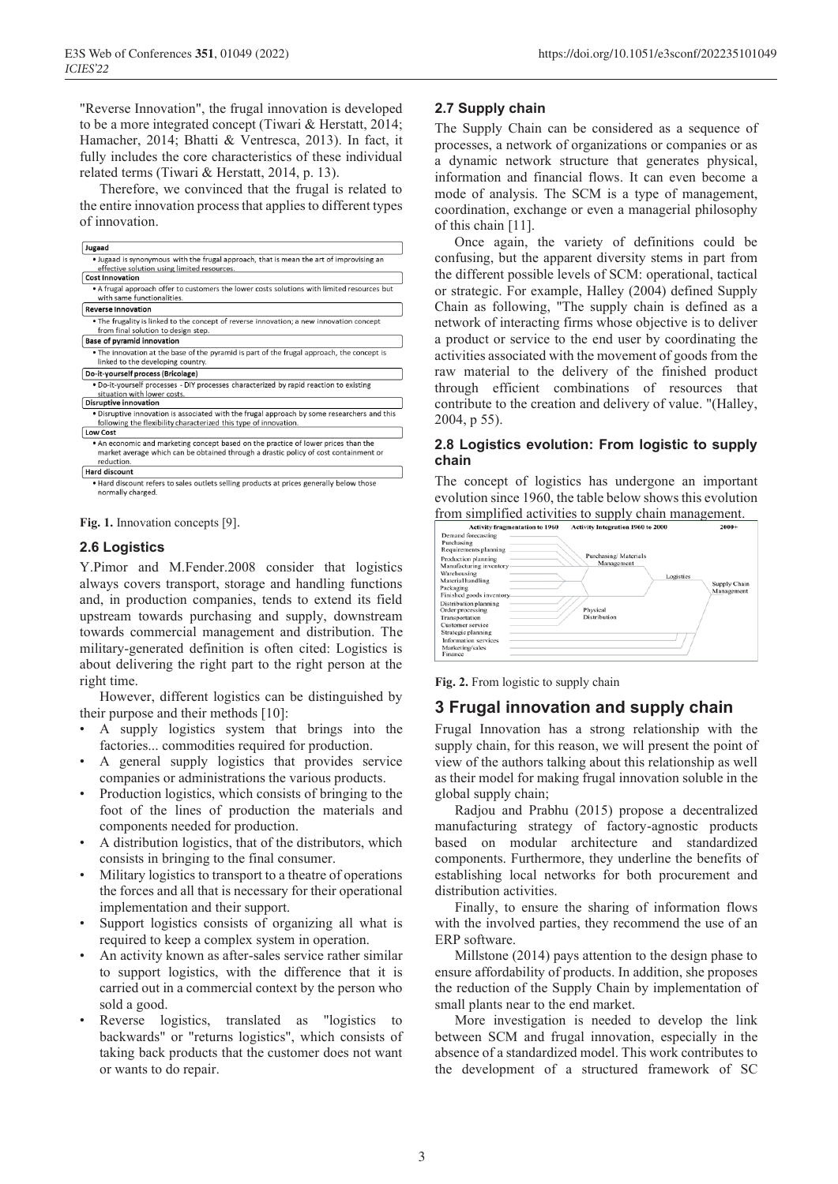"Reverse Innovation", the frugal innovation is developed to be a more integrated concept (Tiwari & Herstatt, 2014; Hamacher, 2014; Bhatti & Ventresca, 2013). In fact, it fully includes the core characteristics of these individual related terms (Tiwari & Herstatt, 2014, p. 13).

Therefore, we convinced that the frugal is related to the entire innovation process that applies to different types of innovation.

| Jugaad                                                                                                                                                                                   |  |
|------------------------------------------------------------------------------------------------------------------------------------------------------------------------------------------|--|
| • Jugaad is synonymous with the frugal approach, that is mean the art of improvising an<br>effective solution using limited resources.                                                   |  |
| <b>Cost Innovation</b>                                                                                                                                                                   |  |
| . A frugal approach offer to customers the lower costs solutions with limited resources but<br>with same functionalities.                                                                |  |
| <b>Reverse Innovation</b>                                                                                                                                                                |  |
| . The frugality is linked to the concept of reverse innovation; a new innovation concept<br>from final solution to design step.                                                          |  |
| <b>Base of pyramid innovation</b>                                                                                                                                                        |  |
| • The innovation at the base of the pyramid is part of the frugal approach, the concept is<br>linked to the developing country.                                                          |  |
| Do-it-yourself process (Bricolage)                                                                                                                                                       |  |
| . Do-it-yourself processes - DIY processes characterized by rapid reaction to existing<br>situation with lower costs.                                                                    |  |
| <b>Disruptive innovation</b>                                                                                                                                                             |  |
| . Disruptive innovation is associated with the frugal approach by some researchers and this<br>following the flexibility characterized this type of innovation.                          |  |
| <b>Low Cost</b>                                                                                                                                                                          |  |
| . An economic and marketing concept based on the practice of lower prices than the<br>market average which can be obtained through a drastic policy of cost containment or<br>reduction. |  |
| <b>Hard discount</b>                                                                                                                                                                     |  |
| . Hard discount refers to sales outlets selling products at prices generally below those                                                                                                 |  |

normally charged

**Fig. 1.** Innovation concepts [9].

#### **2.6 Logistics**

Y.Pimor and M.Fender.2008 consider that logistics always covers transport, storage and handling functions and, in production companies, tends to extend its field upstream towards purchasing and supply, downstream towards commercial management and distribution. The military-generated definition is often cited: Logistics is about delivering the right part to the right person at the right time.

However, different logistics can be distinguished by their purpose and their methods [10]:

- A supply logistics system that brings into the factories... commodities required for production.
- A general supply logistics that provides service companies or administrations the various products.
- Production logistics, which consists of bringing to the foot of the lines of production the materials and components needed for production.
- A distribution logistics, that of the distributors, which consists in bringing to the final consumer.
- Military logistics to transport to a theatre of operations the forces and all that is necessary for their operational implementation and their support.
- Support logistics consists of organizing all what is required to keep a complex system in operation.
- An activity known as after-sales service rather similar to support logistics, with the difference that it is carried out in a commercial context by the person who sold a good.
- Reverse logistics, translated as "logistics to backwards" or "returns logistics", which consists of taking back products that the customer does not want or wants to do repair.

#### **2.7 Supply chain**

The Supply Chain can be considered as a sequence of processes, a network of organizations or companies or as a dynamic network structure that generates physical, information and financial flows. It can even become a mode of analysis. The SCM is a type of management, coordination, exchange or even a managerial philosophy of this chain [11].

Once again, the variety of definitions could be confusing, but the apparent diversity stems in part from the different possible levels of SCM: operational, tactical or strategic. For example, Halley (2004) defined Supply Chain as following, "The supply chain is defined as a network of interacting firms whose objective is to deliver a product or service to the end user by coordinating the activities associated with the movement of goods from the raw material to the delivery of the finished product through efficient combinations of resources that contribute to the creation and delivery of value. "(Halley, 2004, p 55).

#### **2.8 Logistics evolution: From logistic to supply chain**

The concept of logistics has undergone an important evolution since 1960, the table below shows this evolution from simplified activities to supply chain management.

|                                                           | Activity Integration 1960 to 2000<br><b>Activity fragmentation to 1960</b> | $2000+$                    |
|-----------------------------------------------------------|----------------------------------------------------------------------------|----------------------------|
| Demand forecasting<br>Purchasing<br>Requirements planning |                                                                            |                            |
| Production planning<br>Manufacturing inventory            | Purchasing/Materials<br>Management                                         |                            |
| Warehousing<br>Material handling                          | Logistics                                                                  |                            |
| Packaging<br>Finished goods inventory.                    |                                                                            | Supply Chain<br>Management |
| Distribution planning<br>Order processing                 | Physical                                                                   |                            |
| Transportation<br>Customer service                        | <b>Distribution</b>                                                        |                            |
| Strategic planning                                        |                                                                            |                            |
| Information services                                      |                                                                            |                            |
| Marketing/sales<br>Finance                                |                                                                            |                            |

**Fig. 2.** From logistic to supply chain

## **3 Frugal innovation and supply chain**

Frugal Innovation has a strong relationship with the supply chain, for this reason, we will present the point of view of the authors talking about this relationship as well as their model for making frugal innovation soluble in the global supply chain;

Radjou and Prabhu (2015) propose a decentralized manufacturing strategy of factory-agnostic products based on modular architecture and standardized components. Furthermore, they underline the benefits of establishing local networks for both procurement and distribution activities.

Finally, to ensure the sharing of information flows with the involved parties, they recommend the use of an ERP software.

Millstone (2014) pays attention to the design phase to ensure affordability of products. In addition, she proposes the reduction of the Supply Chain by implementation of small plants near to the end market.

More investigation is needed to develop the link between SCM and frugal innovation, especially in the absence of a standardized model. This work contributes to the development of a structured framework of SC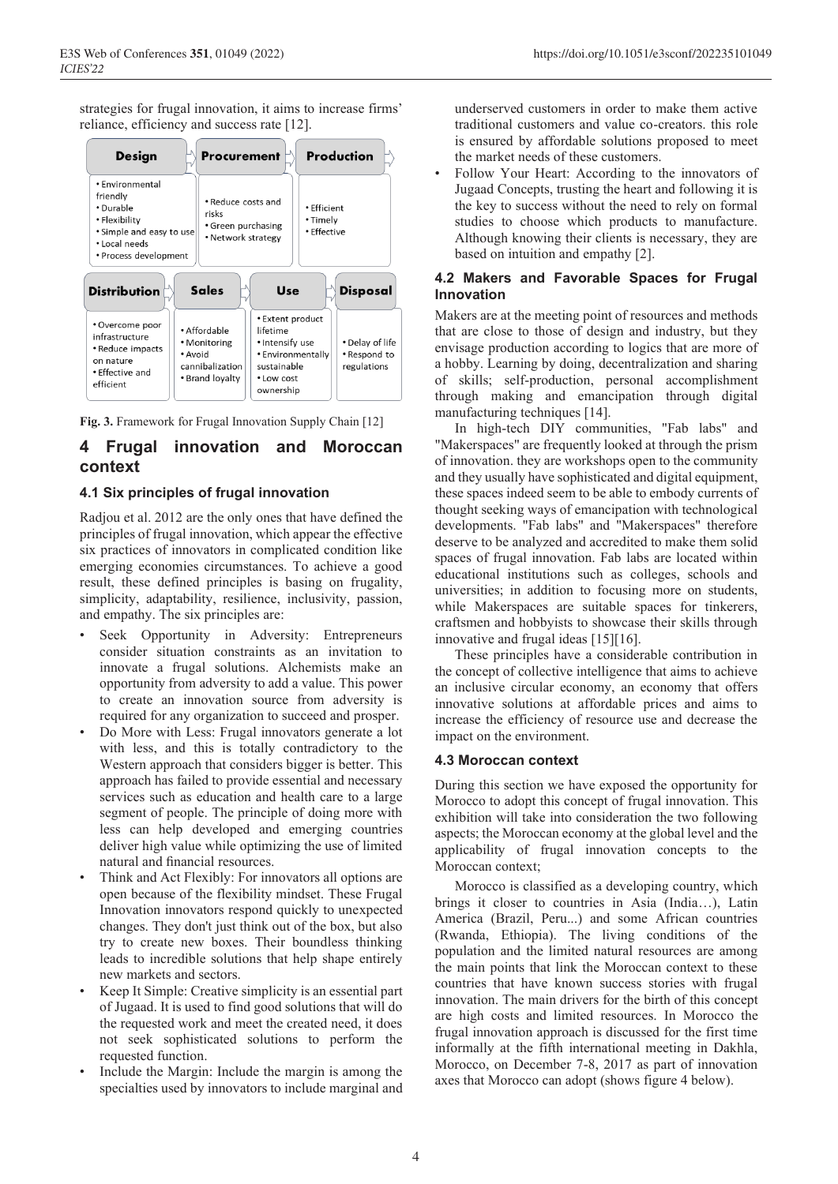strategies for frugal innovation, it aims to increase firms' reliance, efficiency and success rate [12].



**Fig. 3.** Framework for Frugal Innovation Supply Chain [12]

# **4 Frugal innovation and Moroccan context**

## **4.1 Six principles of frugal innovation**

Radjou et al. 2012 are the only ones that have defined the principles of frugal innovation, which appear the effective six practices of innovators in complicated condition like emerging economies circumstances. To achieve a good result, these defined principles is basing on frugality, simplicity, adaptability, resilience, inclusivity, passion, and empathy. The six principles are:

- Seek Opportunity in Adversity: Entrepreneurs consider situation constraints as an invitation to innovate a frugal solutions. Alchemists make an opportunity from adversity to add a value. This power to create an innovation source from adversity is required for any organization to succeed and prosper.
- Do More with Less: Frugal innovators generate a lot with less, and this is totally contradictory to the Western approach that considers bigger is better. This approach has failed to provide essential and necessary services such as education and health care to a large segment of people. The principle of doing more with less can help developed and emerging countries deliver high value while optimizing the use of limited natural and financial resources.
- Think and Act Flexibly: For innovators all options are open because of the flexibility mindset. These Frugal Innovation innovators respond quickly to unexpected changes. They don't just think out of the box, but also try to create new boxes. Their boundless thinking leads to incredible solutions that help shape entirely new markets and sectors.
- Keep It Simple: Creative simplicity is an essential part of Jugaad. It is used to find good solutions that will do the requested work and meet the created need, it does not seek sophisticated solutions to perform the requested function.
- Include the Margin: Include the margin is among the specialties used by innovators to include marginal and

underserved customers in order to make them active traditional customers and value co-creators. this role is ensured by affordable solutions proposed to meet the market needs of these customers.

• Follow Your Heart: According to the innovators of Jugaad Concepts, trusting the heart and following it is the key to success without the need to rely on formal studies to choose which products to manufacture. Although knowing their clients is necessary, they are based on intuition and empathy [2].

## **4.2 Makers and Favorable Spaces for Frugal Innovation**

Makers are at the meeting point of resources and methods that are close to those of design and industry, but they envisage production according to logics that are more of a hobby. Learning by doing, decentralization and sharing of skills; self-production, personal accomplishment through making and emancipation through digital manufacturing techniques [14].

In high-tech DIY communities, "Fab labs" and "Makerspaces" are frequently looked at through the prism of innovation. they are workshops open to the community and they usually have sophisticated and digital equipment, these spaces indeed seem to be able to embody currents of thought seeking ways of emancipation with technological developments. "Fab labs" and "Makerspaces" therefore deserve to be analyzed and accredited to make them solid spaces of frugal innovation. Fab labs are located within educational institutions such as colleges, schools and universities; in addition to focusing more on students, while Makerspaces are suitable spaces for tinkerers, craftsmen and hobbyists to showcase their skills through innovative and frugal ideas [15][16].

These principles have a considerable contribution in the concept of collective intelligence that aims to achieve an inclusive circular economy, an economy that offers innovative solutions at affordable prices and aims to increase the efficiency of resource use and decrease the impact on the environment.

## **4.3 Moroccan context**

During this section we have exposed the opportunity for Morocco to adopt this concept of frugal innovation. This exhibition will take into consideration the two following aspects; the Moroccan economy at the global level and the applicability of frugal innovation concepts to the Moroccan context;

Morocco is classified as a developing country, which brings it closer to countries in Asia (India…), Latin America (Brazil, Peru...) and some African countries (Rwanda, Ethiopia). The living conditions of the population and the limited natural resources are among the main points that link the Moroccan context to these countries that have known success stories with frugal innovation. The main drivers for the birth of this concept are high costs and limited resources. In Morocco the frugal innovation approach is discussed for the first time informally at the fifth international meeting in Dakhla, Morocco, on December 7-8, 2017 as part of innovation axes that Morocco can adopt (shows figure 4 below).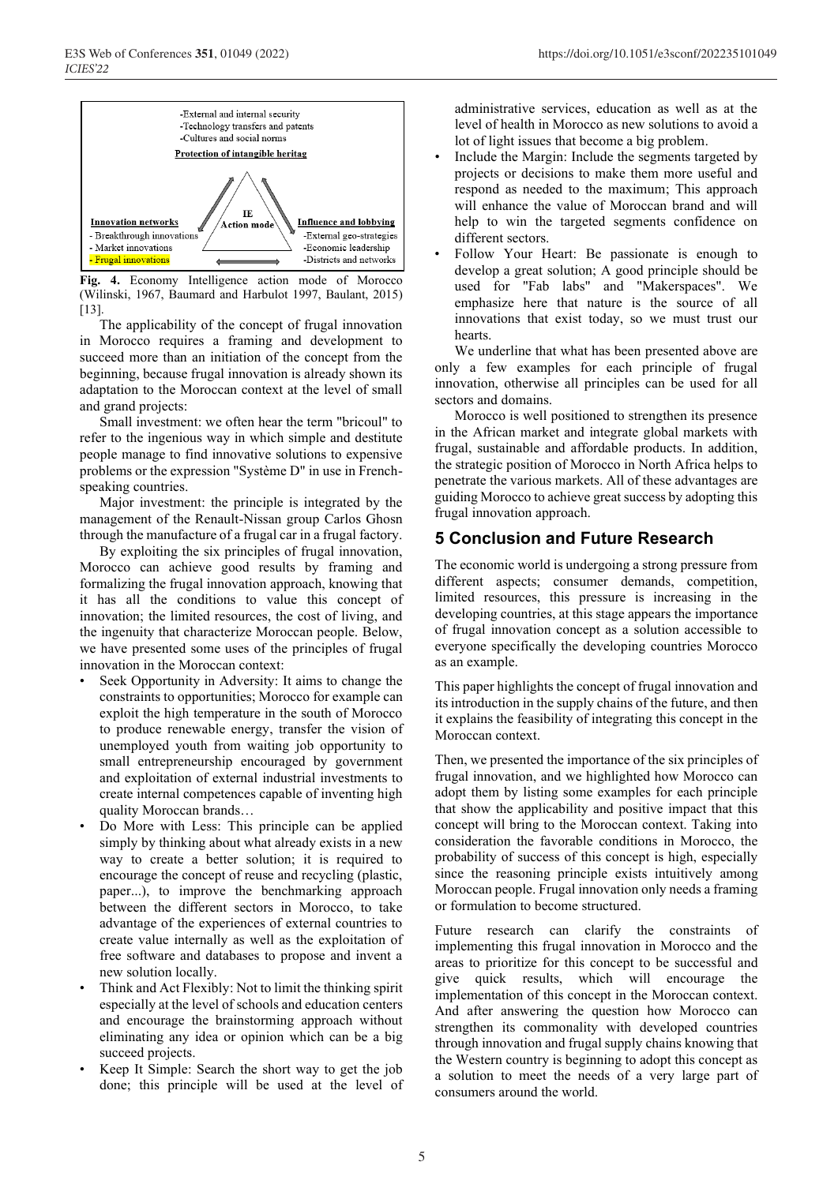

**Fig. 4.** Economy Intelligence action mode of Morocco (Wilinski, 1967, Baumard and Harbulot 1997, Baulant, 2015) [13].

The applicability of the concept of frugal innovation in Morocco requires a framing and development to succeed more than an initiation of the concept from the beginning, because frugal innovation is already shown its adaptation to the Moroccan context at the level of small and grand projects:

Small investment: we often hear the term "bricoul" to refer to the ingenious way in which simple and destitute people manage to find innovative solutions to expensive problems or the expression "Système D" in use in Frenchspeaking countries.

Major investment: the principle is integrated by the management of the Renault-Nissan group Carlos Ghosn through the manufacture of a frugal car in a frugal factory.

By exploiting the six principles of frugal innovation, Morocco can achieve good results by framing and formalizing the frugal innovation approach, knowing that it has all the conditions to value this concept of innovation; the limited resources, the cost of living, and the ingenuity that characterize Moroccan people. Below, we have presented some uses of the principles of frugal innovation in the Moroccan context:

- Seek Opportunity in Adversity: It aims to change the constraints to opportunities; Morocco for example can exploit the high temperature in the south of Morocco to produce renewable energy, transfer the vision of unemployed youth from waiting job opportunity to small entrepreneurship encouraged by government and exploitation of external industrial investments to create internal competences capable of inventing high quality Moroccan brands…
- Do More with Less: This principle can be applied simply by thinking about what already exists in a new way to create a better solution; it is required to encourage the concept of reuse and recycling (plastic, paper...), to improve the benchmarking approach between the different sectors in Morocco, to take advantage of the experiences of external countries to create value internally as well as the exploitation of free software and databases to propose and invent a new solution locally.
- Think and Act Flexibly: Not to limit the thinking spirit especially at the level of schools and education centers and encourage the brainstorming approach without eliminating any idea or opinion which can be a big succeed projects.
- Keep It Simple: Search the short way to get the job done; this principle will be used at the level of

administrative services, education as well as at the level of health in Morocco as new solutions to avoid a lot of light issues that become a big problem.

- Include the Margin: Include the segments targeted by projects or decisions to make them more useful and respond as needed to the maximum; This approach will enhance the value of Moroccan brand and will help to win the targeted segments confidence on different sectors.
- Follow Your Heart: Be passionate is enough to develop a great solution; A good principle should be used for "Fab labs" and "Makerspaces". We emphasize here that nature is the source of all innovations that exist today, so we must trust our hearts.

We underline that what has been presented above are only a few examples for each principle of frugal innovation, otherwise all principles can be used for all sectors and domains.

Morocco is well positioned to strengthen its presence in the African market and integrate global markets with frugal, sustainable and affordable products. In addition, the strategic position of Morocco in North Africa helps to penetrate the various markets. All of these advantages are guiding Morocco to achieve great success by adopting this frugal innovation approach.

## **5 Conclusion and Future Research**

The economic world is undergoing a strong pressure from different aspects; consumer demands, competition, limited resources, this pressure is increasing in the developing countries, at this stage appears the importance of frugal innovation concept as a solution accessible to everyone specifically the developing countries Morocco as an example.

This paper highlights the concept of frugal innovation and its introduction in the supply chains of the future, and then it explains the feasibility of integrating this concept in the Moroccan context.

Then, we presented the importance of the six principles of frugal innovation, and we highlighted how Morocco can adopt them by listing some examples for each principle that show the applicability and positive impact that this concept will bring to the Moroccan context. Taking into consideration the favorable conditions in Morocco, the probability of success of this concept is high, especially since the reasoning principle exists intuitively among Moroccan people. Frugal innovation only needs a framing or formulation to become structured.

Future research can clarify the constraints of implementing this frugal innovation in Morocco and the areas to prioritize for this concept to be successful and give quick results, which will encourage the implementation of this concept in the Moroccan context. And after answering the question how Morocco can strengthen its commonality with developed countries through innovation and frugal supply chains knowing that the Western country is beginning to adopt this concept as a solution to meet the needs of a very large part of consumers around the world.